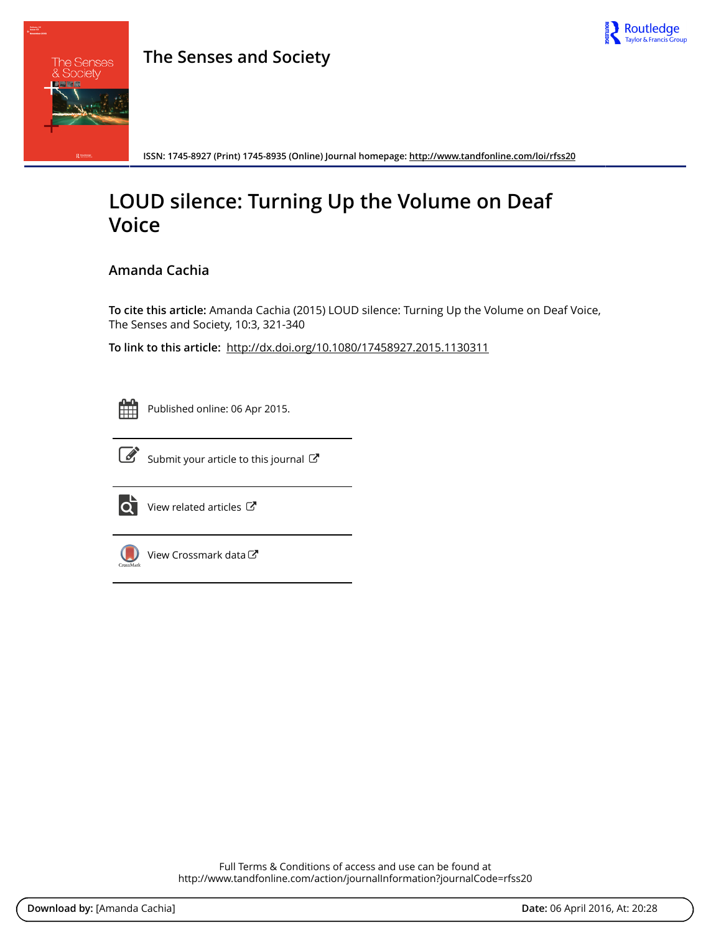



**ISSN: 1745-8927 (Print) 1745-8935 (Online) Journal homepage:<http://www.tandfonline.com/loi/rfss20>**

# **LOUD silence: Turning Up the Volume on Deaf Voice**

# **Amanda Cachia**

**To cite this article:** Amanda Cachia (2015) LOUD silence: Turning Up the Volume on Deaf Voice, The Senses and Society, 10:3, 321-340

**To link to this article:** <http://dx.doi.org/10.1080/17458927.2015.1130311>



Published online: 06 Apr 2015.



 $\overrightarrow{S}$  [Submit your article to this journal](http://www.tandfonline.com/action/authorSubmission?journalCode=rfss20&page=instructions)  $\overrightarrow{S}$ 



 $\overrightarrow{Q}$  [View related articles](http://www.tandfonline.com/doi/mlt/10.1080/17458927.2015.1130311)  $\overrightarrow{C}$ 



[View Crossmark data](http://crossmark.crossref.org/dialog/?doi=10.1080/17458927.2015.1130311&domain=pdf&date_stamp=2015-04-06)

Full Terms & Conditions of access and use can be found at <http://www.tandfonline.com/action/journalInformation?journalCode=rfss20>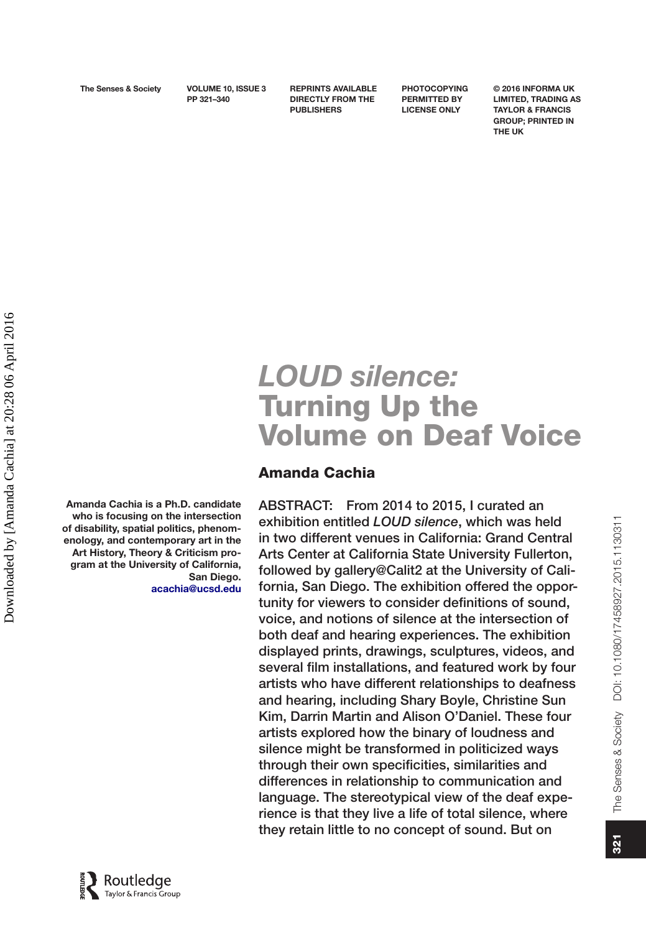**PP 321–340**

**REPRINTS AVAILABLE DIRECTLY FROM THE PUBLISHERS**

**PHOTOCOPYING PERMITTED BY LICENSE ONLY**

**© 2016 INFORMA UK LIMITED, TRADING AS TAYLOR & FRANCIS GROUP; PRINTED IN THE UK**

# *LOUD silence:* Turning Up the Volume on Deaf Voice

# Amanda Cachia

ABSTRACT: From 2014 to 2015, I curated an exhibition entitled *LOUD silence*, which was held in two different venues in California: Grand Central Arts Center at California State University Fullerton, followed by gallery@Calit2 at the University of California, San Diego. The exhibition offered the opportunity for viewers to consider definitions of sound, voice, and notions of silence at the intersection of both deaf and hearing experiences. The exhibition displayed prints, drawings, sculptures, videos, and several film installations, and featured work by four artists who have different relationships to deafness and hearing, including Shary Boyle, Christine Sun Kim, Darrin Martin and Alison O'Daniel. These four artists explored how the binary of loudness and silence might be transformed in politicized ways through their own specificities, similarities and differences in relationship to communication and language. The stereotypical view of the deaf experience is that they live a life of total silence, where they retain little to no concept of sound. But on

Amanda Cachia is a Ph.D. candidate who is focusing on the intersection of disability, spatial politics, phenomenology, and contemporary art in the Art History, Theory & Criticism program at the University of California, San Diego. [acachia@ucsd.edu](mailto:acachia@ucsd.edu)

The Senses & Society DOI: 10.1080/17458927.2015.1130311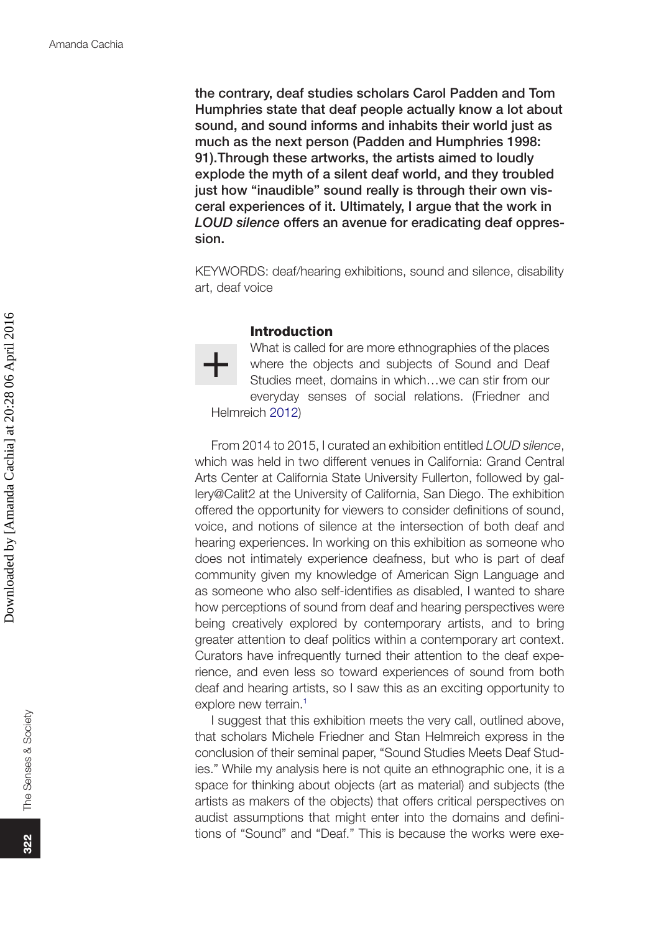the contrary, deaf studies scholars Carol Padden and Tom Humphries state that deaf people actually know a lot about sound, and sound informs and inhabits their world just as much as the next person (Padden and Humphries 1998: 91).Through these artworks, the artists aimed to loudly explode the myth of a silent deaf world, and they troubled just how "inaudible" sound really is through their own visceral experiences of it. Ultimately, I argue that the work in *LOUD silence* offers an avenue for eradicating deaf oppression.

KEYWORDS: deaf/hearing exhibitions, sound and silence, disability art, deaf voice

#### <span id="page-2-0"></span>Introduction

What is called for are more ethnographies of the places where the objects and subjects of Sound and Deaf Studies meet, domains in which…we can stir from our everyday senses of social relations. (Friedner and Helmreich [2012](#page-20-0))

From 2014 to 2015, I curated an exhibition entitled *LOUD silence*, which was held in two different venues in California: Grand Central Arts Center at California State University Fullerton, followed by gallery@Calit2 at the University of California, San Diego. The exhibition offered the opportunity for viewers to consider definitions of sound, voice, and notions of silence at the intersection of both deaf and hearing experiences. In working on this exhibition as someone who does not intimately experience deafness, but who is part of deaf community given my knowledge of American Sign Language and as someone who also self-identifies as disabled, I wanted to share how perceptions of sound from deaf and hearing perspectives were being creatively explored by contemporary artists, and to bring greater attention to deaf politics within a contemporary art context. Curators have infrequently turned their attention to the deaf experience, and even less so toward experiences of sound from both deaf and hearing artists, so I saw this as an exciting opportunity to explore new terrain.<sup>[1](#page-19-0)</sup>

I suggest that this exhibition meets the very call, outlined above, that scholars Michele Friedner and Stan Helmreich express in the conclusion of their seminal paper, "Sound Studies Meets Deaf Studies." While my analysis here is not quite an ethnographic one, it is a space for thinking about objects (art as material) and subjects (the artists as makers of the objects) that offers critical perspectives on audist assumptions that might enter into the domains and definitions of "Sound" and "Deaf." This is because the works were exe-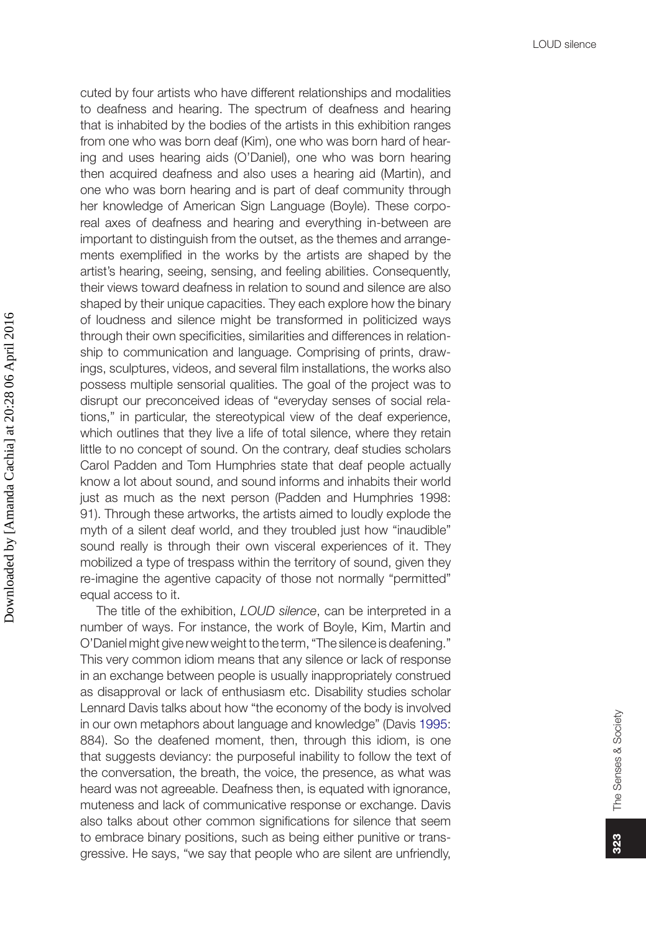cuted by four artists who have different relationships and modalities to deafness and hearing. The spectrum of deafness and hearing that is inhabited by the bodies of the artists in this exhibition ranges from one who was born deaf (Kim), one who was born hard of hearing and uses hearing aids (O'Daniel), one who was born hearing then acquired deafness and also uses a hearing aid (Martin), and one who was born hearing and is part of deaf community through her knowledge of American Sign Language (Boyle). These corporeal axes of deafness and hearing and everything in-between are important to distinguish from the outset, as the themes and arrangements exemplified in the works by the artists are shaped by the artist's hearing, seeing, sensing, and feeling abilities. Consequently, their views toward deafness in relation to sound and silence are also shaped by their unique capacities. They each explore how the binary of loudness and silence might be transformed in politicized ways through their own specificities, similarities and differences in relationship to communication and language. Comprising of prints, drawings, sculptures, videos, and several film installations, the works also possess multiple sensorial qualities. The goal of the project was to disrupt our preconceived ideas of "everyday senses of social relations," in particular, the stereotypical view of the deaf experience, which outlines that they live a life of total silence, where they retain little to no concept of sound. On the contrary, deaf studies scholars Carol Padden and Tom Humphries state that deaf people actually know a lot about sound, and sound informs and inhabits their world just as much as the next person (Padden and Humphries 1998: 91). Through these artworks, the artists aimed to loudly explode the myth of a silent deaf world, and they troubled just how "inaudible" sound really is through their own visceral experiences of it. They mobilized a type of trespass within the territory of sound, given they re-imagine the agentive capacity of those not normally "permitted" equal access to it.

<span id="page-3-0"></span>The title of the exhibition, *LOUD silence*, can be interpreted in a number of ways. For instance, the work of Boyle, Kim, Martin and O'Daniel might give new weight to the term, "The silence is deafening." This very common idiom means that any silence or lack of response in an exchange between people is usually inappropriately construed as disapproval or lack of enthusiasm etc. Disability studies scholar Lennard Davis talks about how "the economy of the body is involved in our own metaphors about language and knowledge" (Davis [1995:](#page-20-1) 884). So the deafened moment, then, through this idiom, is one that suggests deviancy: the purposeful inability to follow the text of the conversation, the breath, the voice, the presence, as what was heard was not agreeable. Deafness then, is equated with ignorance, muteness and lack of communicative response or exchange. Davis also talks about other common significations for silence that seem to embrace binary positions, such as being either punitive or transgressive. He says, "we say that people who are silent are unfriendly,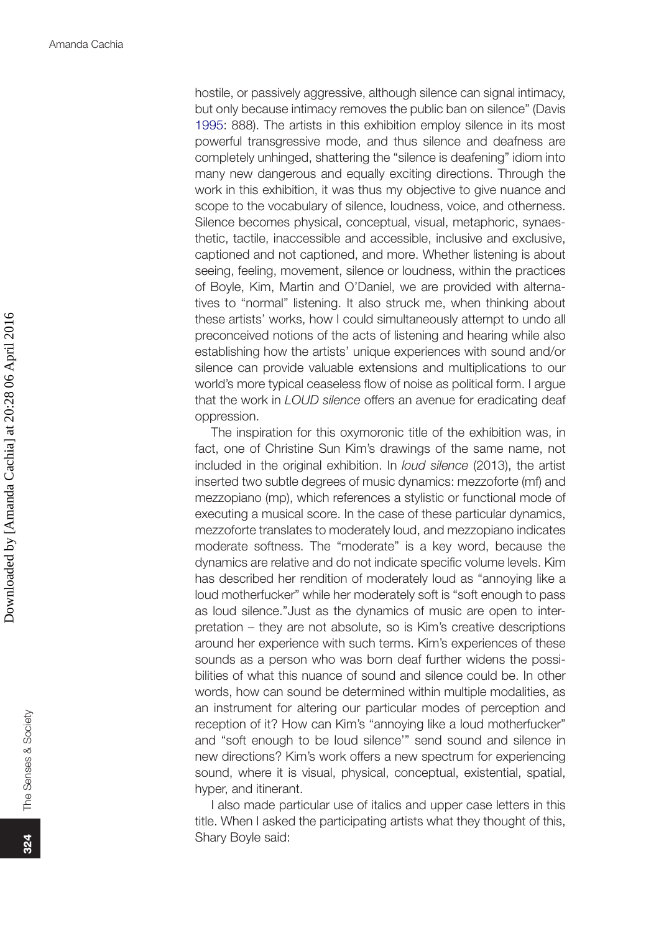hostile, or passively aggressive, although silence can signal intimacy, but only because intimacy removes the public ban on silence" (Davis [1995:](#page-20-1) 888). The artists in this exhibition employ silence in its most powerful transgressive mode, and thus silence and deafness are completely unhinged, shattering the "silence is deafening" idiom into many new dangerous and equally exciting directions. Through the work in this exhibition, it was thus my objective to give nuance and scope to the vocabulary of silence, loudness, voice, and otherness. Silence becomes physical, conceptual, visual, metaphoric, synaesthetic, tactile, inaccessible and accessible, inclusive and exclusive, captioned and not captioned, and more. Whether listening is about seeing, feeling, movement, silence or loudness, within the practices of Boyle, Kim, Martin and O'Daniel, we are provided with alternatives to "normal" listening. It also struck me, when thinking about these artists' works, how I could simultaneously attempt to undo all preconceived notions of the acts of listening and hearing while also establishing how the artists' unique experiences with sound and/or silence can provide valuable extensions and multiplications to our world's more typical ceaseless flow of noise as political form. I argue that the work in *LOUD silence* offers an avenue for eradicating deaf oppression.

The inspiration for this oxymoronic title of the exhibition was, in fact, one of Christine Sun Kim's drawings of the same name, not included in the original exhibition. In *loud silence* (2013), the artist inserted two subtle degrees of music dynamics: mezzoforte (mf) and mezzopiano (mp), which references a stylistic or functional mode of executing a musical score. In the case of these particular dynamics, mezzoforte translates to moderately loud, and mezzopiano indicates moderate softness. The "moderate" is a key word, because the dynamics are relative and do not indicate specific volume levels. Kim has described her rendition of moderately loud as "annoying like a loud motherfucker" while her moderately soft is "soft enough to pass as loud silence."Just as the dynamics of music are open to interpretation – they are not absolute, so is Kim's creative descriptions around her experience with such terms. Kim's experiences of these sounds as a person who was born deaf further widens the possibilities of what this nuance of sound and silence could be. In other words, how can sound be determined within multiple modalities, as an instrument for altering our particular modes of perception and reception of it? How can Kim's "annoying like a loud motherfucker" and "soft enough to be loud silence'" send sound and silence in new directions? Kim's work offers a new spectrum for experiencing sound, where it is visual, physical, conceptual, existential, spatial, hyper, and itinerant.

I also made particular use of italics and upper case letters in this title. When I asked the participating artists what they thought of this, Shary Boyle said: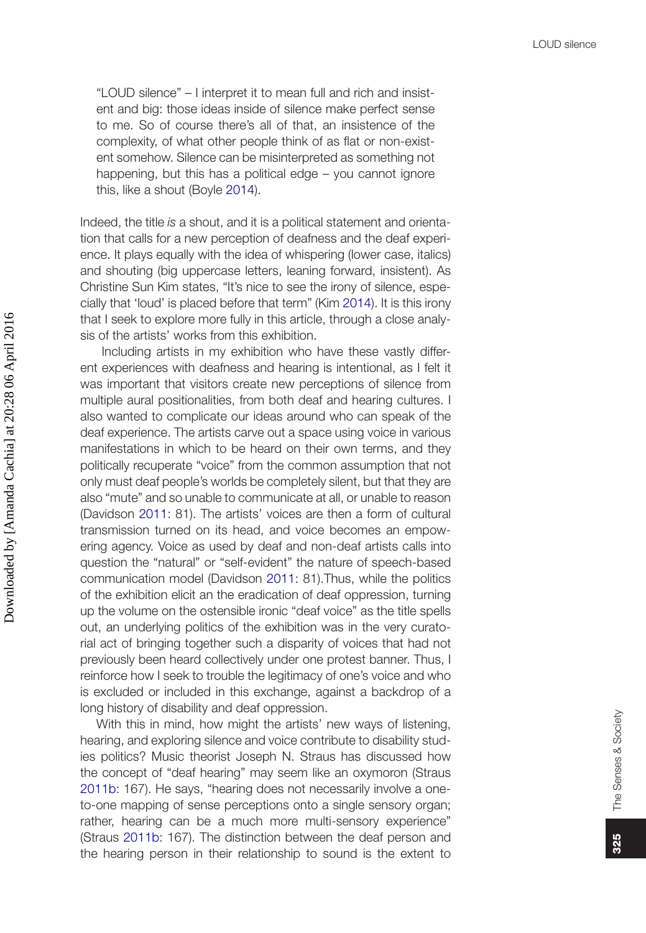<span id="page-5-0"></span>"LOUD silence" – I interpret it to mean full and rich and insistent and big: those ideas inside of silence make perfect sense to me. So of course there's all of that, an insistence of the complexity, of what other people think of as flat or non-existent somehow. Silence can be misinterpreted as something not happening, but this has a political edge – you cannot ignore this, like a shout (Boyle [2014\)](#page-20-2).

Indeed, the title *is* a shout, and it is a political statement and orientation that calls for a new perception of deafness and the deaf experience. It plays equally with the idea of whispering (lower case, italics) and shouting (big uppercase letters, leaning forward, insistent). As Christine Sun Kim states, "It's nice to see the irony of silence, especially that 'loud' is placed before that term" (Kim [2014](#page-20-3)). It is this irony that I seek to explore more fully in this article, through a close analysis of the artists' works from this exhibition.

<span id="page-5-2"></span><span id="page-5-1"></span> Including artists in my exhibition who have these vastly different experiences with deafness and hearing is intentional, as I felt it was important that visitors create new perceptions of silence from multiple aural positionalities, from both deaf and hearing cultures. I also wanted to complicate our ideas around who can speak of the deaf experience. The artists carve out a space using voice in various manifestations in which to be heard on their own terms, and they politically recuperate "voice" from the common assumption that not only must deaf people's worlds be completely silent, but that they are also "mute" and so unable to communicate at all, or unable to reason (Davidson [2011](#page-20-4): 81). The artists' voices are then a form of cultural transmission turned on its head, and voice becomes an empowering agency. Voice as used by deaf and non-deaf artists calls into question the "natural" or "self-evident" the nature of speech-based communication model (Davidson [2011:](#page-20-4) 81).Thus, while the politics of the exhibition elicit an the eradication of deaf oppression, turning up the volume on the ostensible ironic "deaf voice" as the title spells out, an underlying politics of the exhibition was in the very curatorial act of bringing together such a disparity of voices that had not previously been heard collectively under one protest banner. Thus, I reinforce how I seek to trouble the legitimacy of one's voice and who is excluded or included in this exchange, against a backdrop of a long history of disability and deaf oppression.

<span id="page-5-3"></span>With this in mind, how might the artists' new ways of listening, hearing, and exploring silence and voice contribute to disability studies politics? Music theorist Joseph N. Straus has discussed how the concept of "deaf hearing" may seem like an oxymoron (Straus [2011b](#page-20-5): 167). He says, "hearing does not necessarily involve a oneto-one mapping of sense perceptions onto a single sensory organ; rather, hearing can be a much more multi-sensory experience" (Straus [2011b](#page-20-5): 167). The distinction between the deaf person and the hearing person in their relationship to sound is the extent to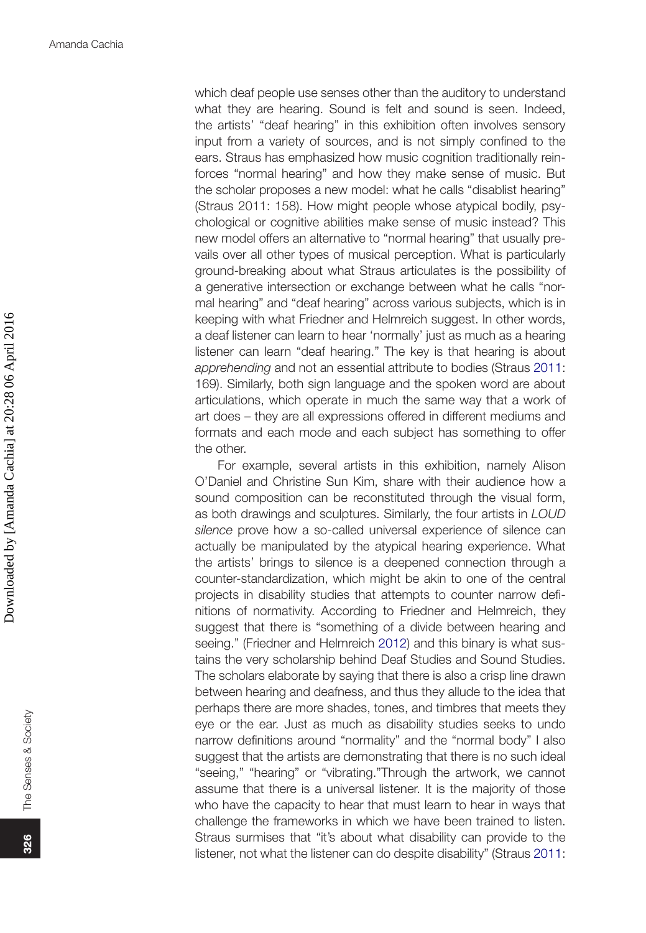which deaf people use senses other than the auditory to understand what they are hearing. Sound is felt and sound is seen. Indeed, the artists' "deaf hearing" in this exhibition often involves sensory input from a variety of sources, and is not simply confined to the ears. Straus has emphasized how music cognition traditionally reinforces "normal hearing" and how they make sense of music. But the scholar proposes a new model: what he calls "disablist hearing" (Straus 2011: 158). How might people whose atypical bodily, psychological or cognitive abilities make sense of music instead? This new model offers an alternative to "normal hearing" that usually prevails over all other types of musical perception. What is particularly ground-breaking about what Straus articulates is the possibility of a generative intersection or exchange between what he calls "normal hearing" and "deaf hearing" across various subjects, which is in keeping with what Friedner and Helmreich suggest. In other words, a deaf listener can learn to hear 'normally' just as much as a hearing listener can learn "deaf hearing." The key is that hearing is about *apprehending* and not an essential attribute to bodies (Straus [2011:](#page-20-6) 169). Similarly, both sign language and the spoken word are about articulations, which operate in much the same way that a work of art does – they are all expressions offered in different mediums and formats and each mode and each subject has something to offer the other.

<span id="page-6-0"></span> For example, several artists in this exhibition, namely Alison O'Daniel and Christine Sun Kim, share with their audience how a sound composition can be reconstituted through the visual form, as both drawings and sculptures. Similarly, the four artists in *LOUD silence* prove how a so-called universal experience of silence can actually be manipulated by the atypical hearing experience. What the artists' brings to silence is a deepened connection through a counter-standardization, which might be akin to one of the central projects in disability studies that attempts to counter narrow definitions of normativity. According to Friedner and Helmreich, they suggest that there is "something of a divide between hearing and seeing." (Friedner and Helmreich [2012\)](#page-20-0) and this binary is what sustains the very scholarship behind Deaf Studies and Sound Studies. The scholars elaborate by saying that there is also a crisp line drawn between hearing and deafness, and thus they allude to the idea that perhaps there are more shades, tones, and timbres that meets they eye or the ear. Just as much as disability studies seeks to undo narrow definitions around "normality" and the "normal body" I also suggest that the artists are demonstrating that there is no such ideal "seeing," "hearing" or "vibrating."Through the artwork, we cannot assume that there is a universal listener. It is the majority of those who have the capacity to hear that must learn to hear in ways that challenge the frameworks in which we have been trained to listen. Straus surmises that "it's about what disability can provide to the listener, not what the listener can do despite disability" (Straus [2011:](#page-20-6)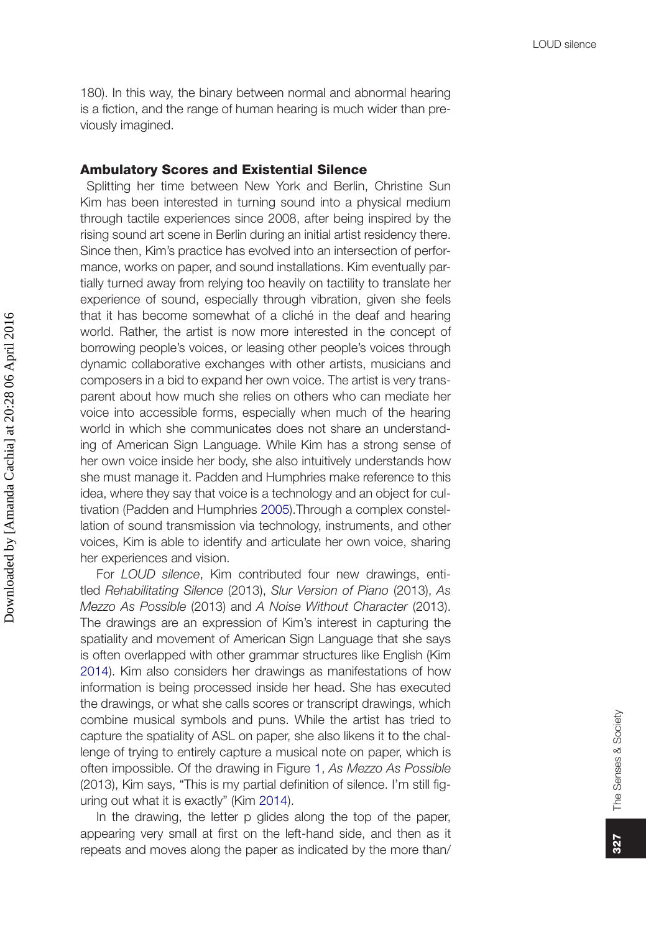180). In this way, the binary between normal and abnormal hearing is a fiction, and the range of human hearing is much wider than previously imagined.

#### Ambulatory Scores and Existential Silence

 Splitting her time between New York and Berlin, Christine Sun Kim has been interested in turning sound into a physical medium through tactile experiences since 2008, after being inspired by the rising sound art scene in Berlin during an initial artist residency there. Since then, Kim's practice has evolved into an intersection of performance, works on paper, and sound installations. Kim eventually partially turned away from relying too heavily on tactility to translate her experience of sound, especially through vibration, given she feels that it has become somewhat of a cliché in the deaf and hearing world. Rather, the artist is now more interested in the concept of borrowing people's voices, or leasing other people's voices through dynamic collaborative exchanges with other artists, musicians and composers in a bid to expand her own voice. The artist is very transparent about how much she relies on others who can mediate her voice into accessible forms, especially when much of the hearing world in which she communicates does not share an understanding of American Sign Language. While Kim has a strong sense of her own voice inside her body, she also intuitively understands how she must manage it. Padden and Humphries make reference to this idea, where they say that voice is a technology and an object for cultivation (Padden and Humphries [2005\)](#page-20-7).Through a complex constellation of sound transmission via technology, instruments, and other voices, Kim is able to identify and articulate her own voice, sharing her experiences and vision.

<span id="page-7-0"></span>For *LOUD silence*, Kim contributed four new drawings, entitled *Rehabilitating Silence* (2013), *Slur Version of Piano* (2013), *As Mezzo As Possible* (2013) and *A Noise Without Character* (2013). The drawings are an expression of Kim's interest in capturing the spatiality and movement of American Sign Language that she says is often overlapped with other grammar structures like English (Kim [2014\)](#page-20-3). Kim also considers her drawings as manifestations of how information is being processed inside her head. She has executed the drawings, or what she calls scores or transcript drawings, which combine musical symbols and puns. While the artist has tried to capture the spatiality of ASL on paper, she also likens it to the challenge of trying to entirely capture a musical note on paper, which is often impossible. Of the drawing in Figure [1](#page-8-0), *As Mezzo As Possible* (2013), Kim says, "This is my partial definition of silence. I'm still figuring out what it is exactly" (Kim [2014](#page-20-3)).

In the drawing, the letter p glides along the top of the paper, appearing very small at first on the left-hand side, and then as it repeats and moves along the paper as indicated by the more than/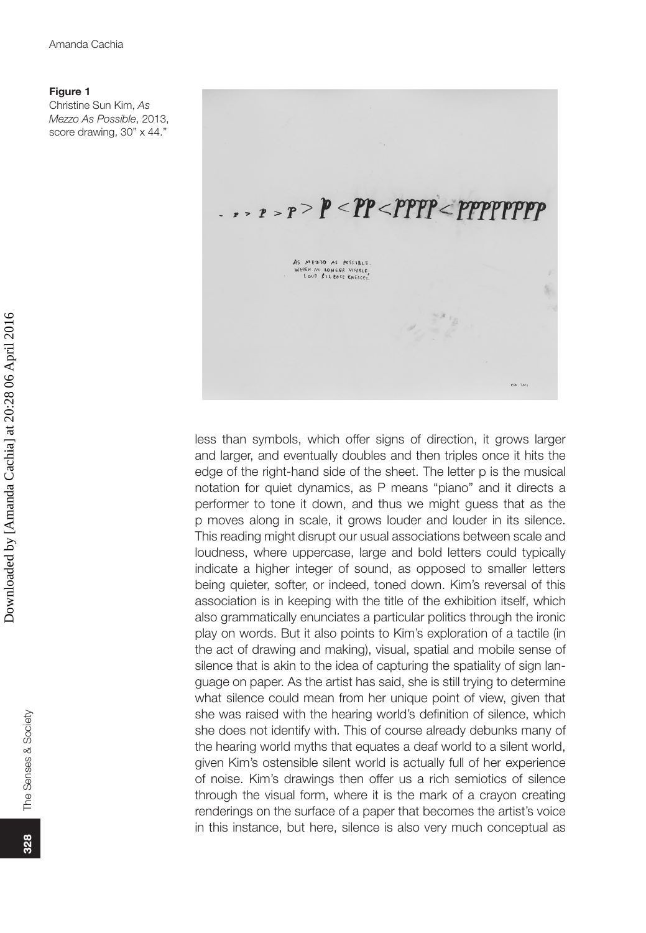Christine Sun Kim, *As Mezzo As Possible*, 2013, score drawing, 30" x 44."

<span id="page-8-0"></span>**Figure 1**

# $\cdots$   $\cdots$   $\cdots$   $\cdots$   $\cdots$   $\cdots$   $\cdots$   $\cdots$   $\cdots$   $\cdots$   $\cdots$   $\cdots$   $\cdots$   $\cdots$   $\cdots$   $\cdots$   $\cdots$   $\cdots$   $\cdots$   $\cdots$   $\cdots$   $\cdots$   $\cdots$   $\cdots$   $\cdots$   $\cdots$   $\cdots$   $\cdots$   $\cdots$   $\cdots$   $\cdots$   $\cdots$   $\cdots$   $\cdots$   $\cdots$   $\cdots$   $\cdots$ AS MEZZO AS POSSIBLE.<br>WHEN NO LONGER VISIBLE,<br>LOUD SILENCE EMERCES.  $\overline{\mathbb{S}}$  $\frac{1}{256}$

less than symbols, which offer signs of direction, it grows larger and larger, and eventually doubles and then triples once it hits the edge of the right-hand side of the sheet. The letter p is the musical notation for quiet dynamics, as P means "piano" and it directs a performer to tone it down, and thus we might guess that as the p moves along in scale, it grows louder and louder in its silence. This reading might disrupt our usual associations between scale and loudness, where uppercase, large and bold letters could typically indicate a higher integer of sound, as opposed to smaller letters being quieter, softer, or indeed, toned down. Kim's reversal of this association is in keeping with the title of the exhibition itself, which also grammatically enunciates a particular politics through the ironic play on words. But it also points to Kim's exploration of a tactile (in the act of drawing and making), visual, spatial and mobile sense of silence that is akin to the idea of capturing the spatiality of sign language on paper. As the artist has said, she is still trying to determine what silence could mean from her unique point of view, given that she was raised with the hearing world's definition of silence, which she does not identify with. This of course already debunks many of the hearing world myths that equates a deaf world to a silent world, given Kim's ostensible silent world is actually full of her experience of noise. Kim's drawings then offer us a rich semiotics of silence through the visual form, where it is the mark of a crayon creating renderings on the surface of a paper that becomes the artist's voice in this instance, but here, silence is also very much conceptual as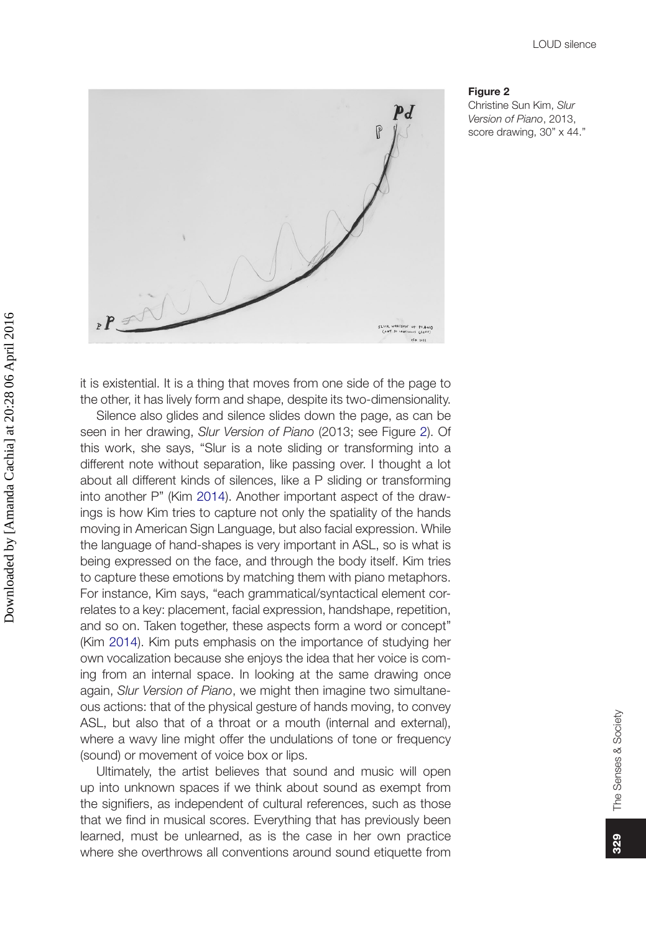

#### <span id="page-9-0"></span>**Figure 2**

Christine Sun Kim, *Slur Version of Piano*, 2013, score drawing, 30" x 44."

it is existential. It is a thing that moves from one side of the page to the other, it has lively form and shape, despite its two-dimensionality.

Silence also glides and silence slides down the page, as can be seen in her drawing, *Slur Version of Piano* (2013; see Figure [2\)](#page-9-0). Of this work, she says, "Slur is a note sliding or transforming into a different note without separation, like passing over. I thought a lot about all different kinds of silences, like a P sliding or transforming into another P" (Kim [2014](#page-20-3)). Another important aspect of the drawings is how Kim tries to capture not only the spatiality of the hands moving in American Sign Language, but also facial expression. While the language of hand-shapes is very important in ASL, so is what is being expressed on the face, and through the body itself. Kim tries to capture these emotions by matching them with piano metaphors. For instance, Kim says, "each grammatical/syntactical element correlates to a key: placement, facial expression, handshape, repetition, and so on. Taken together, these aspects form a word or concept" (Kim [2014](#page-20-3)). Kim puts emphasis on the importance of studying her own vocalization because she enjoys the idea that her voice is coming from an internal space. In looking at the same drawing once again, *Slur Version of Piano*, we might then imagine two simultaneous actions: that of the physical gesture of hands moving, to convey ASL, but also that of a throat or a mouth (internal and external), where a wavy line might offer the undulations of tone or frequency (sound) or movement of voice box or lips.

Ultimately, the artist believes that sound and music will open up into unknown spaces if we think about sound as exempt from the signifiers, as independent of cultural references, such as those that we find in musical scores. Everything that has previously been learned, must be unlearned, as is the case in her own practice where she overthrows all conventions around sound etiquette from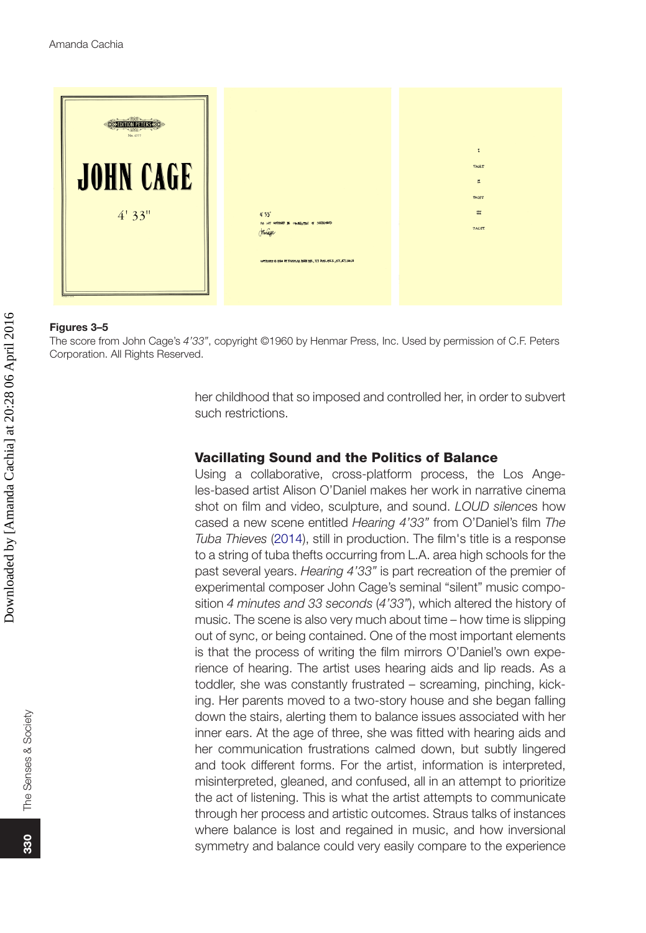

#### **Figures 3–5**

The score from John Cage's *4'33"*, copyright ©1960 by Henmar Press, Inc. Used by permission of C.F. Peters Corporation. All Rights Reserved.

> her childhood that so imposed and controlled her, in order to subvert such restrictions.

## Vacillating Sound and the Politics of Balance

<span id="page-10-0"></span>Using a collaborative, cross-platform process, the Los Angeles-based artist Alison O'Daniel makes her work in narrative cinema shot on film and video, sculpture, and sound. *LOUD silence*s how cased a new scene entitled *Hearing 4'33"* from O'Daniel's film *The Tuba Thieves* [\(2014](#page-20-8)), still in production. The film's title is a response to a string of tuba thefts occurring from L.A. area high schools for the past several years. *Hearing 4'33"* is part recreation of the premier of experimental composer John Cage's seminal "silent" music composition *4 minutes and 33 seconds* (*4'33"*), which altered the history of music. The scene is also very much about time – how time is slipping out of sync, or being contained. One of the most important elements is that the process of writing the film mirrors O'Daniel's own experience of hearing. The artist uses hearing aids and lip reads. As a toddler, she was constantly frustrated – screaming, pinching, kicking. Her parents moved to a two-story house and she began falling down the stairs, alerting them to balance issues associated with her inner ears. At the age of three, she was fitted with hearing aids and her communication frustrations calmed down, but subtly lingered and took different forms. For the artist, information is interpreted, misinterpreted, gleaned, and confused, all in an attempt to prioritize the act of listening. This is what the artist attempts to communicate through her process and artistic outcomes. Straus talks of instances where balance is lost and regained in music, and how inversional symmetry and balance could very easily compare to the experience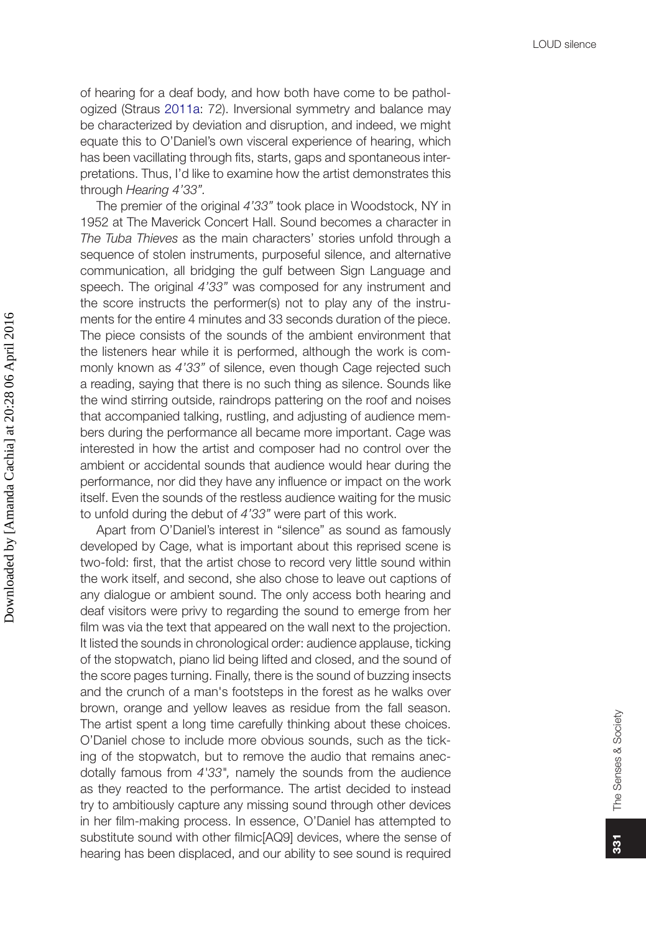of hearing for a deaf body, and how both have come to be pathologized (Straus [2011a](#page-20-6): 72). Inversional symmetry and balance may be characterized by deviation and disruption, and indeed, we might equate this to O'Daniel's own visceral experience of hearing, which has been vacillating through fits, starts, gaps and spontaneous interpretations. Thus, I'd like to examine how the artist demonstrates this through *Hearing 4'33".*

The premier of the original *4'33"* took place in Woodstock, NY in 1952 at The Maverick Concert Hall. Sound becomes a character in *The Tuba Thieves* as the main characters' stories unfold through a sequence of stolen instruments, purposeful silence, and alternative communication, all bridging the gulf between Sign Language and speech. The original *4'33"* was composed for any instrument and the score instructs the performer(s) not to play any of the instruments for the entire 4 minutes and 33 seconds duration of the piece. The piece consists of the sounds of the ambient environment that the listeners hear while it is performed, although the work is commonly known as *4'33"* of silence, even though Cage rejected such a reading, saying that there is no such thing as silence. Sounds like the wind stirring outside, raindrops pattering on the roof and noises that accompanied talking, rustling, and adjusting of audience members during the performance all became more important. Cage was interested in how the artist and composer had no control over the ambient or accidental sounds that audience would hear during the performance, nor did they have any influence or impact on the work itself. Even the sounds of the restless audience waiting for the music to unfold during the debut of *4'33"* were part of this work.

Apart from O'Daniel's interest in "silence" as sound as famously developed by Cage, what is important about this reprised scene is two-fold: first, that the artist chose to record very little sound within the work itself, and second, she also chose to leave out captions of any dialogue or ambient sound. The only access both hearing and deaf visitors were privy to regarding the sound to emerge from her film was via the text that appeared on the wall next to the projection. It listed the sounds in chronological order: audience applause, ticking of the stopwatch, piano lid being lifted and closed, and the sound of the score pages turning. Finally, there is the sound of buzzing insects and the crunch of a man's footsteps in the forest as he walks over brown, orange and yellow leaves as residue from the fall season. The artist spent a long time carefully thinking about these choices. O'Daniel chose to include more obvious sounds, such as the ticking of the stopwatch, but to remove the audio that remains anecdotally famous from *4'33",* namely the sounds from the audience as they reacted to the performance. The artist decided to instead try to ambitiously capture any missing sound through other devices in her film-making process. In essence, O'Daniel has attempted to substitute sound with other filmic[AQ9] devices, where the sense of hearing has been displaced, and our ability to see sound is required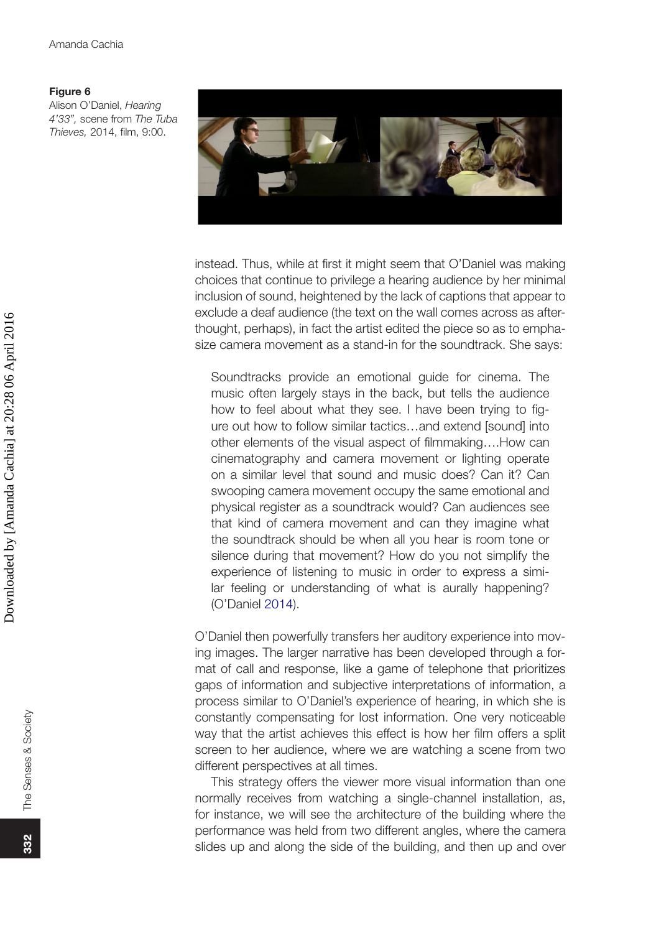Alison O'Daniel, *Hearing 4'33",* scene from *The Tuba Thieves,* 2014, film, 9:00.



instead. Thus, while at first it might seem that O'Daniel was making choices that continue to privilege a hearing audience by her minimal inclusion of sound, heightened by the lack of captions that appear to exclude a deaf audience (the text on the wall comes across as afterthought, perhaps), in fact the artist edited the piece so as to emphasize camera movement as a stand-in for the soundtrack. She says:

Soundtracks provide an emotional guide for cinema. The music often largely stays in the back, but tells the audience how to feel about what they see. I have been trying to figure out how to follow similar tactics…and extend [sound] into other elements of the visual aspect of filmmaking….How can cinematography and camera movement or lighting operate on a similar level that sound and music does? Can it? Can swooping camera movement occupy the same emotional and physical register as a soundtrack would? Can audiences see that kind of camera movement and can they imagine what the soundtrack should be when all you hear is room tone or silence during that movement? How do you not simplify the experience of listening to music in order to express a similar feeling or understanding of what is aurally happening? (O'Daniel [2014](#page-20-8)).

O'Daniel then powerfully transfers her auditory experience into moving images. The larger narrative has been developed through a format of call and response, like a game of telephone that prioritizes gaps of information and subjective interpretations of information, a process similar to O'Daniel's experience of hearing, in which she is constantly compensating for lost information. One very noticeable way that the artist achieves this effect is how her film offers a split screen to her audience, where we are watching a scene from two different perspectives at all times.

This strategy offers the viewer more visual information than one normally receives from watching a single-channel installation, as, for instance, we will see the architecture of the building where the performance was held from two different angles, where the camera slides up and along the side of the building, and then up and over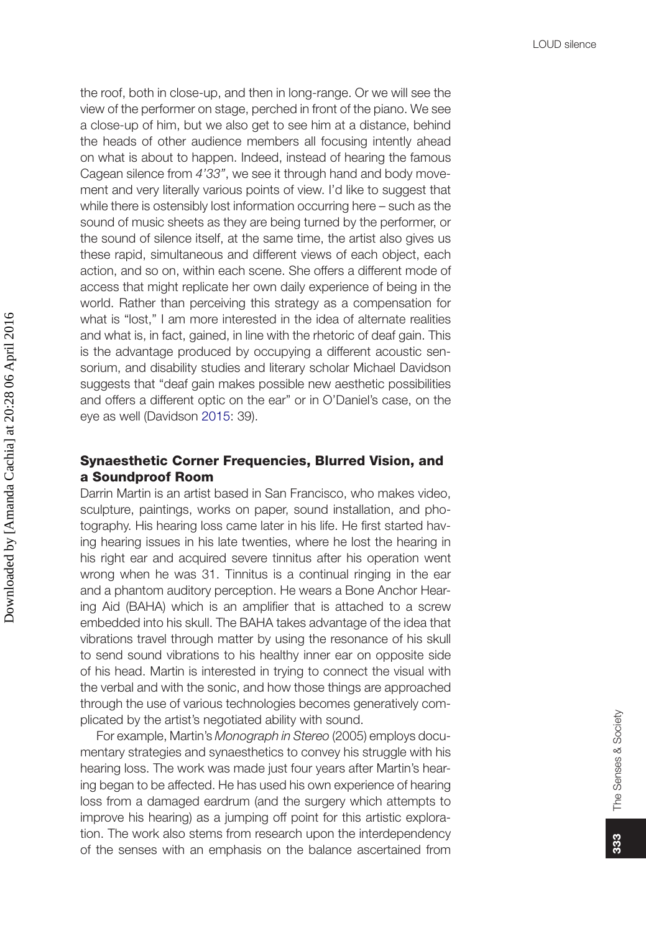the roof, both in close-up, and then in long-range. Or we will see the view of the performer on stage, perched in front of the piano. We see a close-up of him, but we also get to see him at a distance, behind the heads of other audience members all focusing intently ahead on what is about to happen. Indeed, instead of hearing the famous Cagean silence from *4'33"*, we see it through hand and body movement and very literally various points of view. I'd like to suggest that while there is ostensibly lost information occurring here – such as the sound of music sheets as they are being turned by the performer, or the sound of silence itself, at the same time, the artist also gives us these rapid, simultaneous and different views of each object, each action, and so on, within each scene. She offers a different mode of access that might replicate her own daily experience of being in the world. Rather than perceiving this strategy as a compensation for what is "lost," I am more interested in the idea of alternate realities and what is, in fact, gained, in line with the rhetoric of deaf gain. This is the advantage produced by occupying a different acoustic sensorium, and disability studies and literary scholar Michael Davidson suggests that "deaf gain makes possible new aesthetic possibilities and offers a different optic on the ear" or in O'Daniel's case, on the eye as well (Davidson [2015:](#page-20-9) 39).

## <span id="page-13-0"></span>Synaesthetic Corner Frequencies, Blurred Vision, and a Soundproof Room

Darrin Martin is an artist based in San Francisco, who makes video, sculpture, paintings, works on paper, sound installation, and photography. His hearing loss came later in his life. He first started having hearing issues in his late twenties, where he lost the hearing in his right ear and acquired severe tinnitus after his operation went wrong when he was 31. Tinnitus is a continual ringing in the ear and a phantom auditory perception. He wears a Bone Anchor Hearing Aid (BAHA) which is an amplifier that is attached to a screw embedded into his skull. The BAHA takes advantage of the idea that vibrations travel through matter by using the resonance of his skull to send sound vibrations to his healthy inner ear on opposite side of his head. Martin is interested in trying to connect the visual with the verbal and with the sonic, and how those things are approached through the use of various technologies becomes generatively complicated by the artist's negotiated ability with sound.

For example, Martin's *Monograph in Stereo* (2005) employs documentary strategies and synaesthetics to convey his struggle with his hearing loss. The work was made just four years after Martin's hearing began to be affected. He has used his own experience of hearing loss from a damaged eardrum (and the surgery which attempts to improve his hearing) as a jumping off point for this artistic exploration. The work also stems from research upon the interdependency of the senses with an emphasis on the balance ascertained from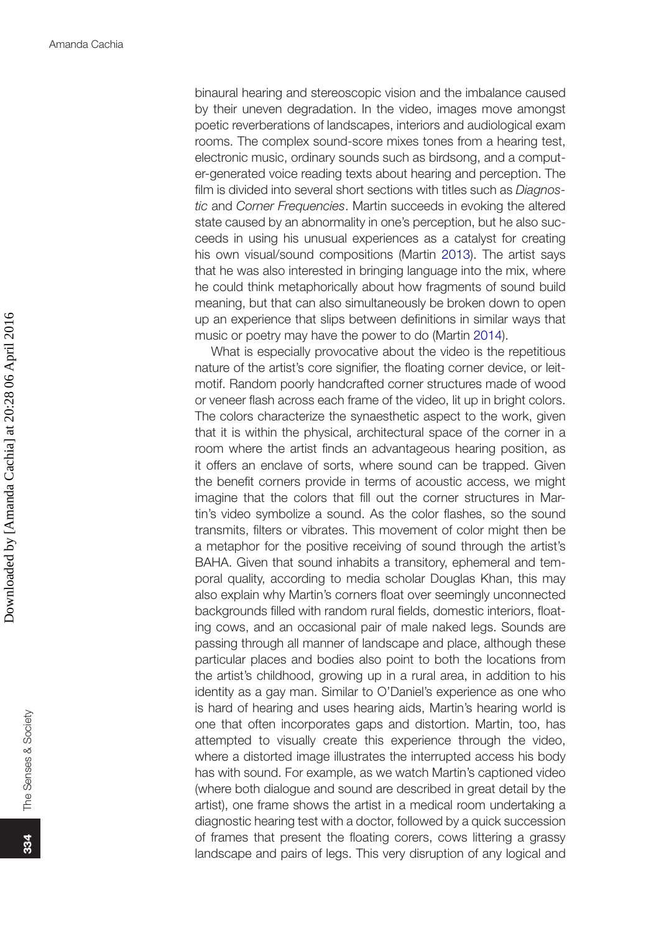binaural hearing and stereoscopic vision and the imbalance caused by their uneven degradation. In the video, images move amongst poetic reverberations of landscapes, interiors and audiological exam rooms. The complex sound-score mixes tones from a hearing test, electronic music, ordinary sounds such as birdsong, and a computer-generated voice reading texts about hearing and perception. The film is divided into several short sections with titles such as *Diagnostic* and *Corner Frequencies*. Martin succeeds in evoking the altered state caused by an abnormality in one's perception, but he also succeeds in using his unusual experiences as a catalyst for creating his own visual/sound compositions (Martin [2013\)](#page-20-10). The artist says that he was also interested in bringing language into the mix, where he could think metaphorically about how fragments of sound build meaning, but that can also simultaneously be broken down to open up an experience that slips between definitions in similar ways that music or poetry may have the power to do (Martin [2014](#page-20-11)).

<span id="page-14-1"></span><span id="page-14-0"></span>What is especially provocative about the video is the repetitious nature of the artist's core signifier, the floating corner device, or leitmotif. Random poorly handcrafted corner structures made of wood or veneer flash across each frame of the video, lit up in bright colors. The colors characterize the synaesthetic aspect to the work, given that it is within the physical, architectural space of the corner in a room where the artist finds an advantageous hearing position, as it offers an enclave of sorts, where sound can be trapped. Given the benefit corners provide in terms of acoustic access, we might imagine that the colors that fill out the corner structures in Martin's video symbolize a sound. As the color flashes, so the sound transmits, filters or vibrates. This movement of color might then be a metaphor for the positive receiving of sound through the artist's BAHA. Given that sound inhabits a transitory, ephemeral and temporal quality, according to media scholar Douglas Khan, this may also explain why Martin's corners float over seemingly unconnected backgrounds filled with random rural fields, domestic interiors, floating cows, and an occasional pair of male naked legs. Sounds are passing through all manner of landscape and place, although these particular places and bodies also point to both the locations from the artist's childhood, growing up in a rural area, in addition to his identity as a gay man. Similar to O'Daniel's experience as one who is hard of hearing and uses hearing aids, Martin's hearing world is one that often incorporates gaps and distortion. Martin, too, has attempted to visually create this experience through the video, where a distorted image illustrates the interrupted access his body has with sound. For example, as we watch Martin's captioned video (where both dialogue and sound are described in great detail by the artist), one frame shows the artist in a medical room undertaking a diagnostic hearing test with a doctor, followed by a quick succession of frames that present the floating corers, cows littering a grassy landscape and pairs of legs. This very disruption of any logical and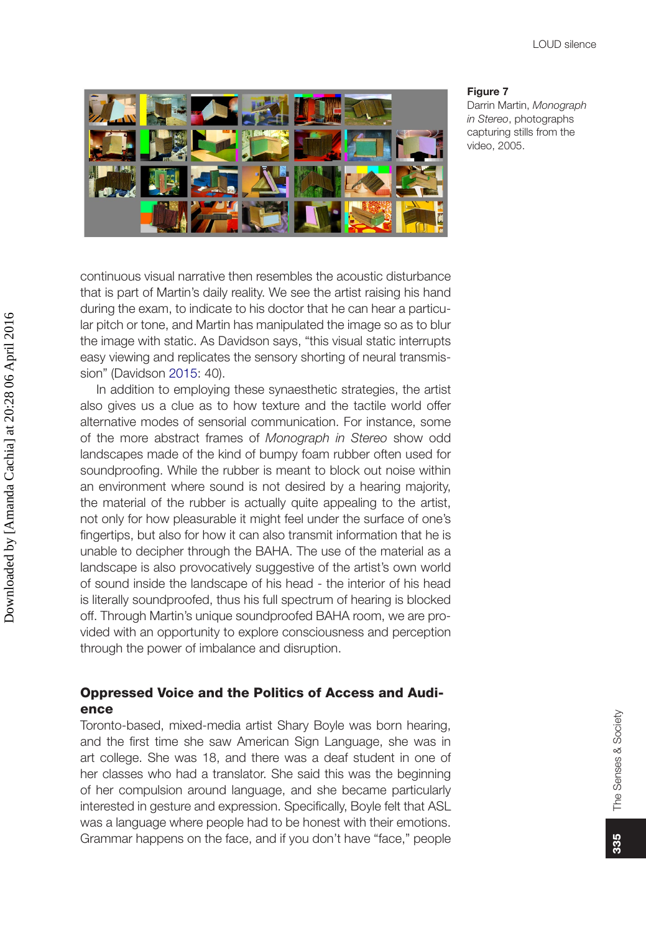

#### **Figure 7**

Darrin Martin, *Monograph in Stereo*, photographs capturing stills from the video, 2005.

continuous visual narrative then resembles the acoustic disturbance that is part of Martin's daily reality. We see the artist raising his hand during the exam, to indicate to his doctor that he can hear a particular pitch or tone, and Martin has manipulated the image so as to blur the image with static. As Davidson says, "this visual static interrupts easy viewing and replicates the sensory shorting of neural transmission" (Davidson [2015](#page-20-9): 40).

In addition to employing these synaesthetic strategies, the artist also gives us a clue as to how texture and the tactile world offer alternative modes of sensorial communication. For instance, some of the more abstract frames of *Monograph in Stereo* show odd landscapes made of the kind of bumpy foam rubber often used for soundproofing. While the rubber is meant to block out noise within an environment where sound is not desired by a hearing majority, the material of the rubber is actually quite appealing to the artist, not only for how pleasurable it might feel under the surface of one's fingertips, but also for how it can also transmit information that he is unable to decipher through the BAHA. The use of the material as a landscape is also provocatively suggestive of the artist's own world of sound inside the landscape of his head - the interior of his head is literally soundproofed, thus his full spectrum of hearing is blocked off. Through Martin's unique soundproofed BAHA room, we are provided with an opportunity to explore consciousness and perception through the power of imbalance and disruption.

# Oppressed Voice and the Politics of Access and Audience

Toronto-based, mixed-media artist Shary Boyle was born hearing, and the first time she saw American Sign Language, she was in art college. She was 18, and there was a deaf student in one of her classes who had a translator. She said this was the beginning of her compulsion around language, and she became particularly interested in gesture and expression. Specifically, Boyle felt that ASL was a language where people had to be honest with their emotions. Grammar happens on the face, and if you don't have "face," people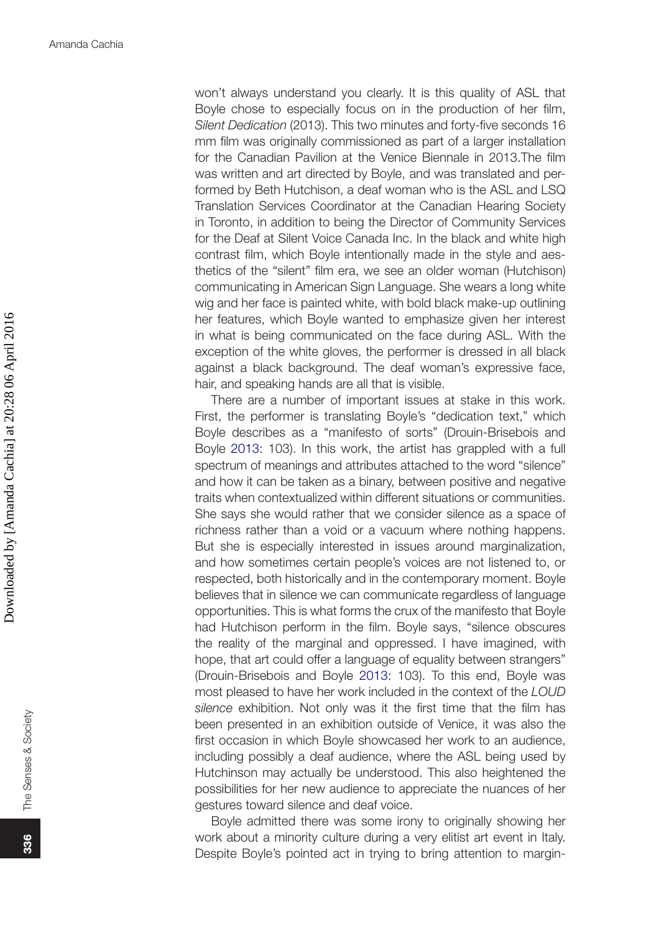won't always understand you clearly. It is this quality of ASL that Boyle chose to especially focus on in the production of her film, *Silent Dedication* (2013). This two minutes and forty-five seconds 16 mm film was originally commissioned as part of a larger installation for the Canadian Pavilion at the Venice Biennale in 2013.The film was written and art directed by Boyle, and was translated and performed by Beth Hutchison, a deaf woman who is the ASL and LSQ Translation Services Coordinator at the Canadian Hearing Society in Toronto, in addition to being the Director of Community Services for the Deaf at Silent Voice Canada Inc. In the black and white high contrast film, which Boyle intentionally made in the style and aesthetics of the "silent" film era, we see an older woman (Hutchison) communicating in American Sign Language. She wears a long white wig and her face is painted white, with bold black make-up outlining her features, which Boyle wanted to emphasize given her interest in what is being communicated on the face during ASL. With the exception of the white gloves, the performer is dressed in all black against a black background. The deaf woman's expressive face, hair, and speaking hands are all that is visible.

<span id="page-16-0"></span>There are a number of important issues at stake in this work. First, the performer is translating Boyle's "dedication text," which Boyle describes as a "manifesto of sorts" (Drouin-Brisebois and Boyle [2013](#page-20-12): 103). In this work, the artist has grappled with a full spectrum of meanings and attributes attached to the word "silence" and how it can be taken as a binary, between positive and negative traits when contextualized within different situations or communities. She says she would rather that we consider silence as a space of richness rather than a void or a vacuum where nothing happens. But she is especially interested in issues around marginalization, and how sometimes certain people's voices are not listened to, or respected, both historically and in the contemporary moment. Boyle believes that in silence we can communicate regardless of language opportunities. This is what forms the crux of the manifesto that Boyle had Hutchison perform in the film. Boyle says, "silence obscures the reality of the marginal and oppressed. I have imagined, with hope, that art could offer a language of equality between strangers" (Drouin-Brisebois and Boyle [2013:](#page-20-12) 103). To this end, Boyle was most pleased to have her work included in the context of the *LOUD silence* exhibition. Not only was it the first time that the film has been presented in an exhibition outside of Venice, it was also the first occasion in which Boyle showcased her work to an audience, including possibly a deaf audience, where the ASL being used by Hutchinson may actually be understood. This also heightened the possibilities for her new audience to appreciate the nuances of her gestures toward silence and deaf voice.

Boyle admitted there was some irony to originally showing her work about a minority culture during a very elitist art event in Italy. Despite Boyle's pointed act in trying to bring attention to margin-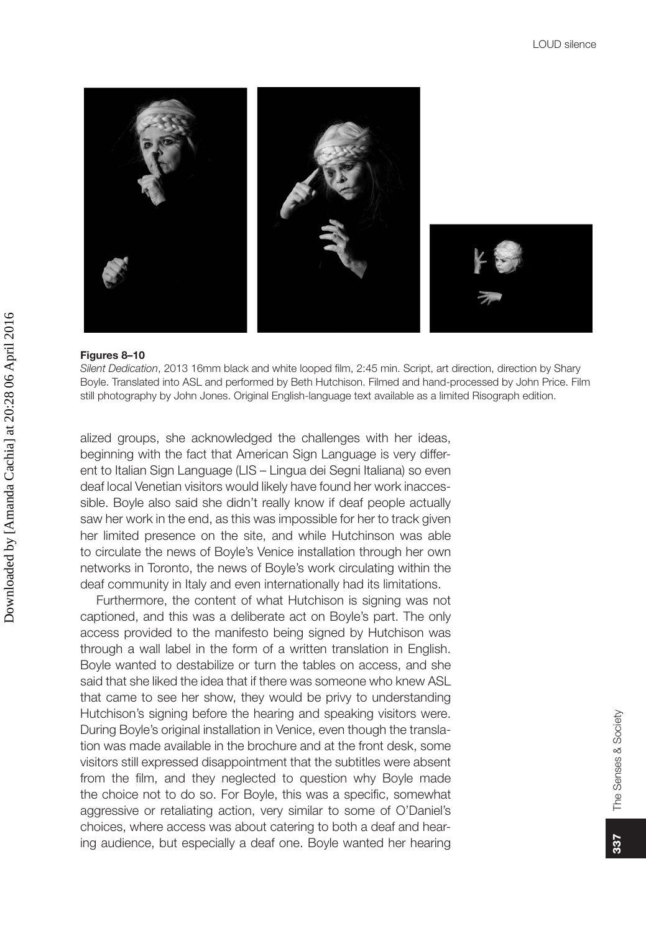

#### **Figures 8–10**

*Silent Dedication*, 2013 16mm black and white looped film, 2:45 min. Script, art direction, direction by Shary Boyle. Translated into ASL and performed by Beth Hutchison. Filmed and hand-processed by John Price. Film still photography by John Jones. Original English-language text available as a limited Risograph edition.

alized groups, she acknowledged the challenges with her ideas, beginning with the fact that American Sign Language is very different to Italian Sign Language (LIS – Lingua dei Segni Italiana) so even deaf local Venetian visitors would likely have found her work inaccessible. Boyle also said she didn't really know if deaf people actually saw her work in the end, as this was impossible for her to track given her limited presence on the site, and while Hutchinson was able to circulate the news of Boyle's Venice installation through her own networks in Toronto, the news of Boyle's work circulating within the deaf community in Italy and even internationally had its limitations.

Furthermore, the content of what Hutchison is signing was not captioned, and this was a deliberate act on Boyle's part. The only access provided to the manifesto being signed by Hutchison was through a wall label in the form of a written translation in English. Boyle wanted to destabilize or turn the tables on access, and she said that she liked the idea that if there was someone who knew ASL that came to see her show, they would be privy to understanding Hutchison's signing before the hearing and speaking visitors were. During Boyle's original installation in Venice, even though the translation was made available in the brochure and at the front desk, some visitors still expressed disappointment that the subtitles were absent from the film, and they neglected to question why Boyle made the choice not to do so. For Boyle, this was a specific, somewhat aggressive or retaliating action, very similar to some of O'Daniel's choices, where access was about catering to both a deaf and hearing audience, but especially a deaf one. Boyle wanted her hearing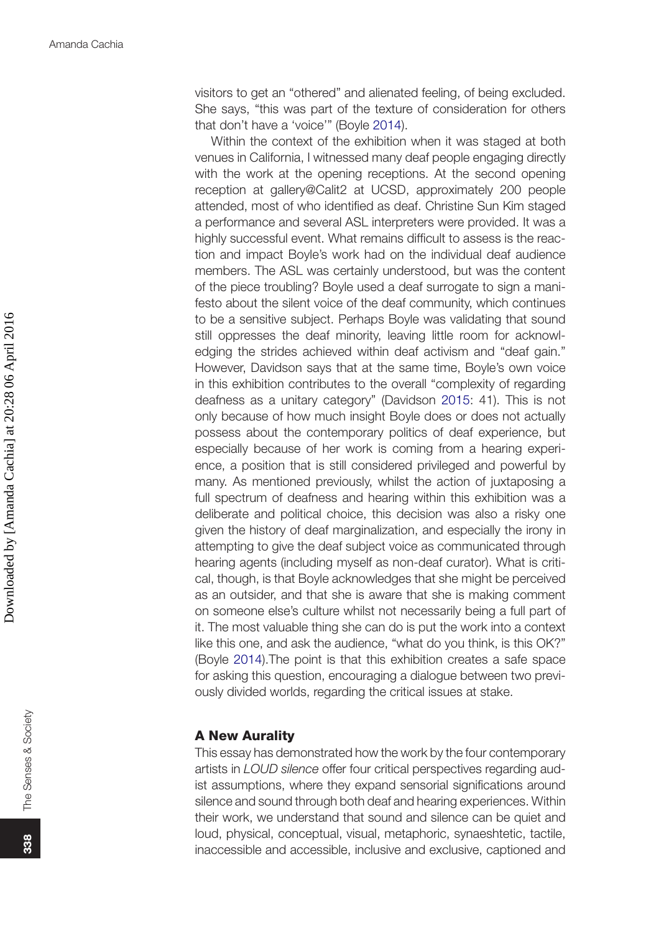visitors to get an "othered" and alienated feeling, of being excluded. She says, "this was part of the texture of consideration for others that don't have a 'voice'" (Boyle [2014\)](#page-20-2).

Within the context of the exhibition when it was staged at both venues in California, I witnessed many deaf people engaging directly with the work at the opening receptions. At the second opening reception at gallery@Calit2 at UCSD, approximately 200 people attended, most of who identified as deaf. Christine Sun Kim staged a performance and several ASL interpreters were provided. It was a highly successful event. What remains difficult to assess is the reaction and impact Boyle's work had on the individual deaf audience members. The ASL was certainly understood, but was the content of the piece troubling? Boyle used a deaf surrogate to sign a manifesto about the silent voice of the deaf community, which continues to be a sensitive subject. Perhaps Boyle was validating that sound still oppresses the deaf minority, leaving little room for acknowledging the strides achieved within deaf activism and "deaf gain." However, Davidson says that at the same time, Boyle's own voice in this exhibition contributes to the overall "complexity of regarding deafness as a unitary category" (Davidson [2015:](#page-20-9) 41). This is not only because of how much insight Boyle does or does not actually possess about the contemporary politics of deaf experience, but especially because of her work is coming from a hearing experience, a position that is still considered privileged and powerful by many. As mentioned previously, whilst the action of juxtaposing a full spectrum of deafness and hearing within this exhibition was a deliberate and political choice, this decision was also a risky one given the history of deaf marginalization, and especially the irony in attempting to give the deaf subject voice as communicated through hearing agents (including myself as non-deaf curator). What is critical, though, is that Boyle acknowledges that she might be perceived as an outsider, and that she is aware that she is making comment on someone else's culture whilst not necessarily being a full part of it. The most valuable thing she can do is put the work into a context like this one, and ask the audience, "what do you think, is this OK?" (Boyle [2014](#page-20-2)).The point is that this exhibition creates a safe space for asking this question, encouraging a dialogue between two previously divided worlds, regarding the critical issues at stake.

## A New Aurality

This essay has demonstrated how the work by the four contemporary artists in *LOUD silence* offer four critical perspectives regarding audist assumptions, where they expand sensorial significations around silence and sound through both deaf and hearing experiences. Within their work, we understand that sound and silence can be quiet and loud, physical, conceptual, visual, metaphoric, synaeshtetic, tactile, inaccessible and accessible, inclusive and exclusive, captioned and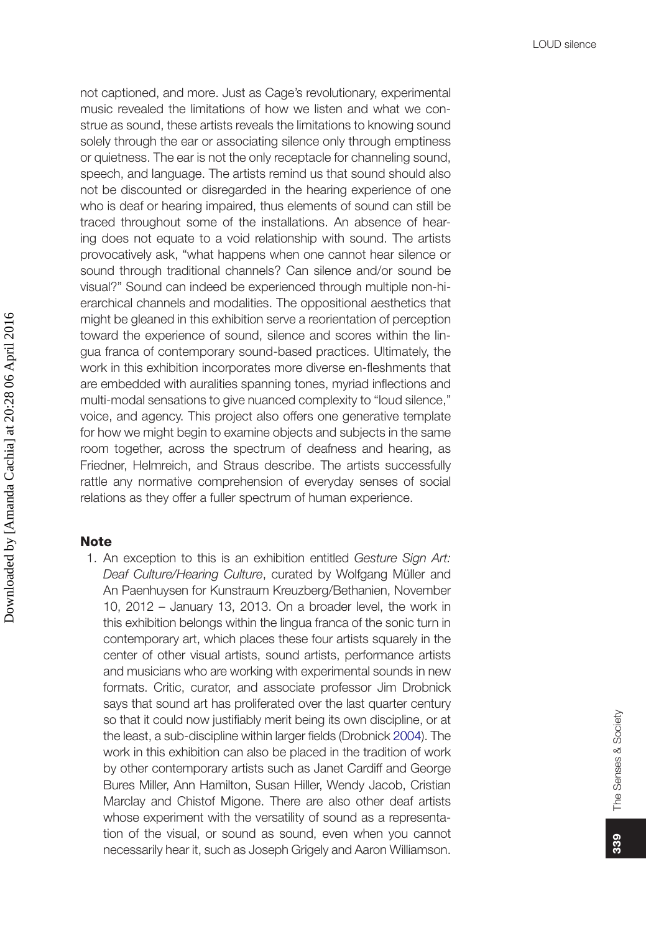not captioned, and more. Just as Cage's revolutionary, experimental music revealed the limitations of how we listen and what we construe as sound, these artists reveals the limitations to knowing sound solely through the ear or associating silence only through emptiness or quietness. The ear is not the only receptacle for channeling sound, speech, and language. The artists remind us that sound should also not be discounted or disregarded in the hearing experience of one who is deaf or hearing impaired, thus elements of sound can still be traced throughout some of the installations. An absence of hearing does not equate to a void relationship with sound. The artists provocatively ask, "what happens when one cannot hear silence or sound through traditional channels? Can silence and/or sound be visual?" Sound can indeed be experienced through multiple non-hierarchical channels and modalities. The oppositional aesthetics that might be gleaned in this exhibition serve a reorientation of perception toward the experience of sound, silence and scores within the lingua franca of contemporary sound-based practices. Ultimately, the work in this exhibition incorporates more diverse en-fleshments that are embedded with auralities spanning tones, myriad inflections and multi-modal sensations to give nuanced complexity to "loud silence," voice, and agency. This project also offers one generative template for how we might begin to examine objects and subjects in the same room together, across the spectrum of deafness and hearing, as Friedner, Helmreich, and Straus describe. The artists successfully rattle any normative comprehension of everyday senses of social relations as they offer a fuller spectrum of human experience.

## **Note**

<span id="page-19-1"></span><span id="page-19-0"></span>1. An exception to this is an exhibition entitled *Gesture Sign Art: Deaf Culture/Hearing Culture*, curated by Wolfgang Müller and An Paenhuysen for Kunstraum Kreuzberg/Bethanien, November 10, 2012 – January 13, 2013. On a broader level, the work in this exhibition belongs within the lingua franca of the sonic turn in contemporary art, which places these four artists squarely in the center of other visual artists, sound artists, performance artists and musicians who are working with experimental sounds in new formats. Critic, curator, and associate professor Jim Drobnick says that sound art has proliferated over the last quarter century so that it could now justifiably merit being its own discipline, or at the least, a sub-discipline within larger fields (Drobnick [2004](#page-20-13)). The work in this exhibition can also be placed in the tradition of work by other contemporary artists such as Janet Cardiff and George Bures Miller, Ann Hamilton, Susan Hiller, Wendy Jacob, Cristian Marclay and Chistof Migone. There are also other deaf artists whose experiment with the versatility of sound as a representation of the visual, or sound as sound, even when you cannot necessarily hear it, such as Joseph Grigely and Aaron Williamson.